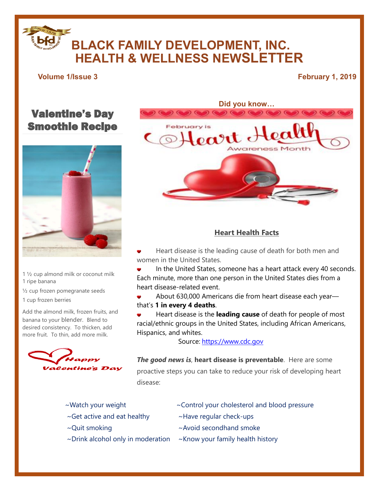# **BLACK FAMILY DEVELOPMENT, INC. HEALTH & WELLNESS NEWSLETTER**

### **Volume 1/Issue 3 February 1, 2019**

## Valentine's Day Smoothie Recipe



- 1 ½ cup almond milk or coconut milk 1 ripe banana
- ½ cup frozen pomegranate seeds
- 1 cup frozen berries

Add the almond milk, frozen fruits, and banana to your blender. Blend to desired consistency. To thicken, add more fruit. To thin, add more milk.





### **Heart Health Facts**

- Heart disease is the leading cause of death for both men and women in the United States.
- In the United States, someone has a heart attack every 40 seconds. Each minute, more than one person in the United States dies from a heart disease-related event.
- About 630,000 Americans die from heart disease each year—

that's **1 in every 4 deaths**.

Heart disease is the **leading cause** of death for people of most racial/ethnic groups in the United States, including African Americans, Hispanics, and whites.

Source: [https://www.cdc.gov](https://www.cdc.gov/)

*The good news is*, **heart disease is preventable**. Here are some proactive steps you can take to reduce your risk of developing heart disease:

- 
- $\sim$ Get active and eat healthy  $\sim$  Have regular check-ups
- 
- $\sim$ Drink alcohol only in moderation  $\sim$ Know your family health history
- ~Watch your weight ~Control your cholesterol and blood pressure
	-
- ~Quit smoking example and a more whole all a smoke  $\sim$  Avoid secondhand smoke
	-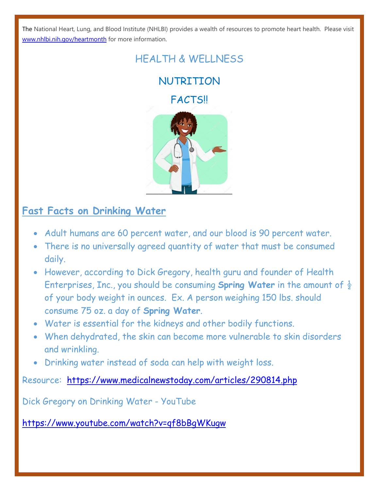The National Heart, Lung, and Blood Institute (NHLBI) provides a wealth of resources to promote heart health. Please visit [www.nhlbi.nih.gov/heartmonth](http://www.nhlbi.nih.gov/heartmonth) for more information.

# HEALTH & WELLNESS

**NUTRITTON** 

**FACTS!!** 



# **Fast Facts on Drinking Water**

- Adult humans are 60 percent water, and our blood is 90 percent water.
- There is no universally agreed quantity of water that must be consumed daily.
- However, according to Dick Gregory, health guru and founder of Health Enterprises, Inc., you should be consuming **Spring Water** in the amount of  $\frac{1}{2}$ of your body weight in ounces. Ex. A person weighing 150 lbs. should consume 75 oz. a day of **Spring Water**.
- Water is essential for the kidneys and other bodily functions.
- When dehydrated, the skin can become more vulnerable to skin disorders and wrinkling.
- Drinking water instead of soda can help with weight loss.

Resource: <https://www.medicalnewstoday.com/articles/290814.php>

Dick Gregory on Drinking Water - YouTube

<https://www.youtube.com/watch?v=qf8bBgWKugw>